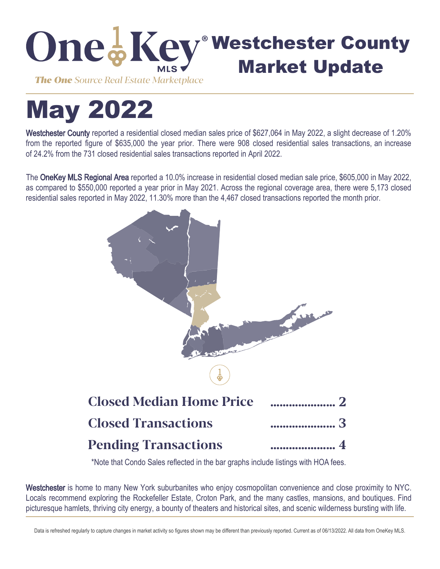

# May 2022

Westchester County reported a residential closed median sales price of \$627,064 in May 2022, a slight decrease of 1.20% from the reported figure of \$635,000 the year prior. There were 908 closed residential sales transactions, an increase of 24.2% from the 731 closed residential sales transactions reported in April 2022.

The OneKey MLS Regional Area reported a 10.0% increase in residential closed median sale price, \$605,000 in May 2022, as compared to \$550,000 reported a year prior in May 2021. Across the regional coverage area, there were 5,173 closed residential sales reported in May 2022, 11.30% more than the 4,467 closed transactions reported the month prior.



\*Note that Condo Sales reflected in the bar graphs include listings with HOA fees.

Westchester is home to many New York suburbanites who enjoy cosmopolitan convenience and close proximity to NYC. Locals recommend exploring the Rockefeller Estate, Croton Park, and the many castles, mansions, and boutiques. Find picturesque hamlets, thriving city energy, a bounty of theaters and historical sites, and scenic wilderness bursting with life.

Data is refreshed regularly to capture changes in market activity so figures shown may be different than previously reported. Current as of 06/13/2022. All data from OneKey MLS.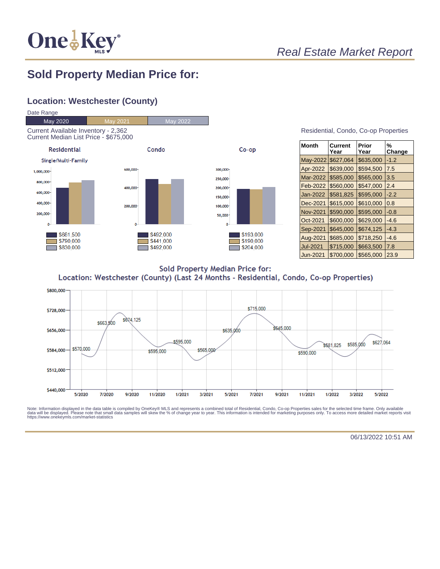

## Real Estate Market Report

#### **Sold Property Median Price for:**

#### **Location: Westchester (County)**



| <b>Month</b>    | Current<br>Year | Prior<br>Year | %<br>Change |
|-----------------|-----------------|---------------|-------------|
| May-2022        | \$627,064       | \$635,000     | $-1.2$      |
| Apr-2022        | \$639,000       | \$594,500     | 7.5         |
| Mar-2022        | \$585,000       | \$565,000     | 3.5         |
| Feb-2022        | \$560,000       | \$547.000     | 2.4         |
| Jan-2022        | \$581,825       | \$595,000     | $-2.2$      |
| Dec-2021        | \$615,000       | \$610,000     | 0.8         |
| <b>Nov-2021</b> | \$590,000       | \$595,000     | $-0.8$      |
| Oct-2021        | \$600,000       | \$629,000     | $-4.6$      |
| Sep-2021        | \$645,000       | \$674,125     | $-4.3$      |
| Aug-2021        | \$685,000       | \$718,250     | $-4.6$      |
| Jul-2021        | \$715,000       | \$663,500     | 7.8         |
| Jun-2021        | \$700.000       | \$565.000     | 23.9        |

**Sold Property Median Price for:** Location: Westchester (County) (Last 24 Months - Residential, Condo, Co-op Properties)



Note: Information displayed in the data table is compiled by OneKey® MLS and represents a combined total of Residential, Condo, Co-op Properties sales for the selected time frame. Only available<br>data will be displayed. Pl

06/13/2022 10:51 AM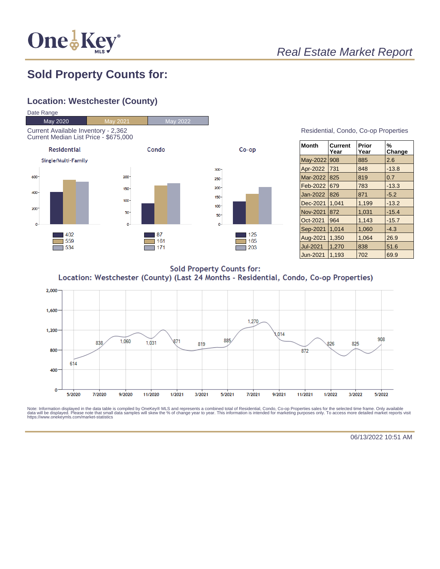

# Real Estate Market Report

## **Sold Property Counts for:**

#### **Location: Westchester (County)**



| Residential, Condo, Co-op Properties |  |  |
|--------------------------------------|--|--|
|                                      |  |  |

| <b>Month</b>    | <b>Current</b><br>Year | Prior<br>Year | %<br>Change |
|-----------------|------------------------|---------------|-------------|
| May-2022        | 908                    | 885           | 2.6         |
| Apr-2022        | 731                    | 848           | $-13.8$     |
| Mar-2022        | 825                    | 819           | 0.7         |
| Feb-2022        | 679                    | 783           | $-13.3$     |
| Jan-2022        | 826                    | 871           | $-5.2$      |
| Dec-2021        | 1,041                  | 1,199         | $-13.2$     |
| <b>Nov-2021</b> | 872                    | 1.031         | $-15.4$     |
| Oct-2021        | 964                    | 1.143         | $-15.7$     |
| Sep-2021        | 1,014                  | 1,060         | $-4.3$      |
| Aug-2021        | 1,350                  | 1,064         | 26.9        |
| <b>Jul-2021</b> | 1.270                  | 838           | 51.6        |
| Jun-2021        | 1.193                  | 702           | 69.9        |

**Sold Property Counts for:** Location: Westchester (County) (Last 24 Months - Residential, Condo, Co-op Properties)



Note: Information displayed in the data table is compiled by OneKey® MLS and represents a combined total of Residential, Condo, Co-op Properties sales for the selected time frame. Only available<br>data will be displayed. Pl

06/13/2022 10:51 AM